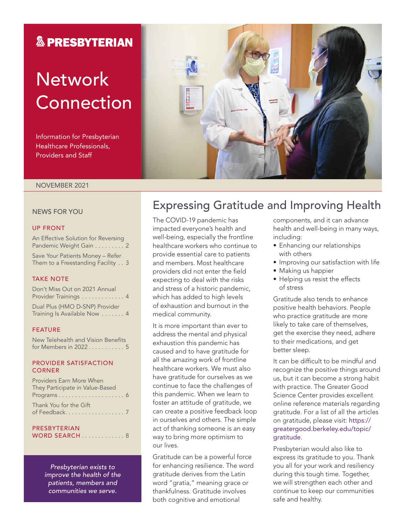# **& PRESBYTERIAN**

# **Network** Connection

Information for Presbyterian Healthcare Professionals, Providers and Staff

#### NOVEMBER 2021

#### NEWS FOR YOU

#### UP FRONT

An Effective Solution for Reversing Pandemic Weight Gain . . . . . . . . . 2

Save Your Patients Money – Refer Them to a Freestanding Facility . . 3

#### TAKE NOTE

Don't Miss Out on 2021 Annual Provider Trainings . . . . . . . . . . . . 4 Dual Plus (HMO D-SNP) Provider Training Is Available Now . . . . . . . 4

#### FEATURE

New Telehealth and Vision Benefits for Members in 2022 . . . . . . . . . . . 5

#### PROVIDER SATISFACTION **CORNER**

| Providers Earn More When        |  |
|---------------------------------|--|
| They Participate in Value-Based |  |
|                                 |  |
| Thank You for the Gift          |  |
|                                 |  |

#### **PRESBYTERIAN** WORD SEARCH . . . . . . . . . . . . 8

*Presbyterian exists to improve the health of the patients, members and communities we serve.*

# Expressing Gratitude and Improving Health

The COVID-19 pandemic has impacted everyone's health and well-being, especially the frontline healthcare workers who continue to provide essential care to patients and members. Most healthcare providers did not enter the field expecting to deal with the risks and stress of a historic pandemic, which has added to high levels of exhaustion and burnout in the medical community.

It is more important than ever to address the mental and physical exhaustion this pandemic has caused and to have gratitude for all the amazing work of frontline healthcare workers. We must also have gratitude for ourselves as we continue to face the challenges of this pandemic. When we learn to foster an attitude of gratitude, we can create a positive feedback loop in ourselves and others. The simple act of thanking someone is an easy way to bring more optimism to our lives.

Gratitude can be a powerful force for enhancing resilience. The word gratitude derives from the Latin word "gratia," meaning grace or thankfulness. Gratitude involves both cognitive and emotional

components, and it can advance health and well-being in many ways, including:

- Enhancing our relationships with others
- Improving our satisfaction with life
- Making us happier
- Helping us resist the effects of stress

Gratitude also tends to enhance positive health behaviors. People who practice gratitude are more likely to take care of themselves, get the exercise they need, adhere to their medications, and get better sleep.

It can be difficult to be mindful and recognize the positive things around us, but it can become a strong habit with practice. The Greater Good Science Center provides excellent online reference materials regarding gratitude. For a list of all the articles on gratitude, please visit: [https://](https://greatergood.berkeley.edu/topic/gratitude) [greatergood.berkeley.edu/topic/](https://greatergood.berkeley.edu/topic/gratitude) [gratitude](https://greatergood.berkeley.edu/topic/gratitude).

Presbyterian would also like to express its gratitude to you. Thank you all for your work and resiliency during this tough time. Together, we will strengthen each other and continue to keep our communities safe and healthy.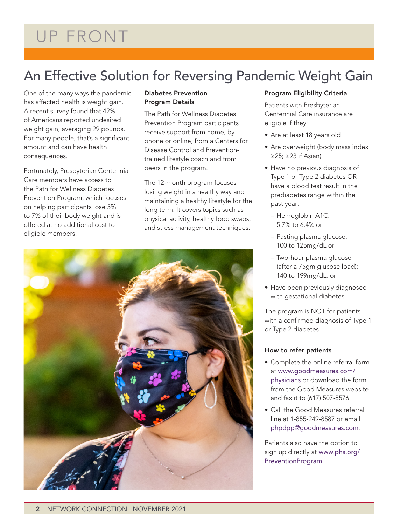# An Effective Solution for Reversing Pandemic Weight Gain

One of the many ways the pandemic has affected health is weight gain. A recent survey found that 42% of Americans reported undesired weight gain, averaging 29 pounds. For many people, that's a significant amount and can have health consequences.

Fortunately, Presbyterian Centennial Care members have access to the Path for Wellness Diabetes Prevention Program, which focuses on helping participants lose 5% to 7% of their body weight and is offered at no additional cost to eligible members.

### Diabetes Prevention Program Details

The Path for Wellness Diabetes Prevention Program participants receive support from home, by phone or online, from a Centers for Disease Control and Preventiontrained lifestyle coach and from peers in the program.

The 12-month program focuses losing weight in a healthy way and maintaining a healthy lifestyle for the long term. It covers topics such as physical activity, healthy food swaps, and stress management techniques.



### Program Eligibility Criteria

Patients with Presbyterian Centennial Care insurance are eligible if they:

- Are at least 18 years old
- Are overweight (body mass index ≥25; ≥23 if Asian)
- Have no previous diagnosis of Type 1 or Type 2 diabetes OR have a blood test result in the prediabetes range within the past year:
	- Hemoglobin A1C: 5.7% to 6.4% or
	- Fasting plasma glucose: 100 to 125mg/dL or
	- Two-hour plasma glucose (after a 75gm glucose load): 140 to 199mg/dL; or
- Have been previously diagnosed with gestational diabetes

The program is NOT for patients with a confirmed diagnosis of Type 1 or Type 2 diabetes.

### How to refer patients

- Complete the online referral form at [www.goodmeasures.com/](http://www.goodmeasures.com/physicians) [physicians](http://www.goodmeasures.com/physicians) or download the form from the Good Measures website and fax it to (617) 507-8576.
- Call the Good Measures referral line at 1-855-249-8587 or email [phpdpp@goodmeasures.com](mailto:phpdpp@goodmeasures.com).

Patients also have the option to sign up directly at [www.phs.org/](http://www.phs.org/PreventionProgram) [PreventionProgram](http://www.phs.org/PreventionProgram).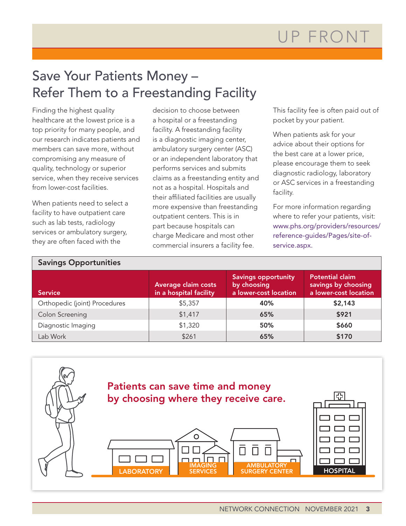# Save Your Patients Money – Refer Them to a Freestanding Facility

Finding the highest quality healthcare at the lowest price is a top priority for many people, and our research indicates patients and members can save more, without compromising any measure of quality, technology or superior service, when they receive services from lower-cost facilities.

When patients need to select a facility to have outpatient care such as lab tests, radiology services or ambulatory surgery, they are often faced with the

decision to choose between a hospital or a freestanding facility. A freestanding facility is a diagnostic imaging center, ambulatory surgery center (ASC) or an independent laboratory that performs services and submits claims as a freestanding entity and not as a hospital. Hospitals and their affiliated facilities are usually more expensive than freestanding outpatient centers. This is in part because hospitals can charge Medicare and most other commercial insurers a facility fee.

This facility fee is often paid out of pocket by your patient.

When patients ask for your advice about their options for the best care at a lower price, please encourage them to seek diagnostic radiology, laboratory or ASC services in a freestanding facility.

For more information regarding where to refer your patients, visit: [www.phs.org/providers/resources/](http://www.phs.org/providers/resources/reference-guides/Pages/site-of-service.aspx) [reference-guides/Pages/site-of](http://www.phs.org/providers/resources/reference-guides/Pages/site-of-service.aspx)[service.aspx.](http://www.phs.org/providers/resources/reference-guides/Pages/site-of-service.aspx)

#### Savings Opportunities **Service** Average claim costs in a hospital facility Savings opportunity by choosing a lower-cost location Potential claim savings by choosing a lower-cost location Orthopedic (joint) Procedures 1 55,357 40% \$2,143 Colon Screening \$1,417 65% \$921 Diagnostic Imaging \$1,320 50% \$660 Lab Work | \$261 | **65% | \$170**

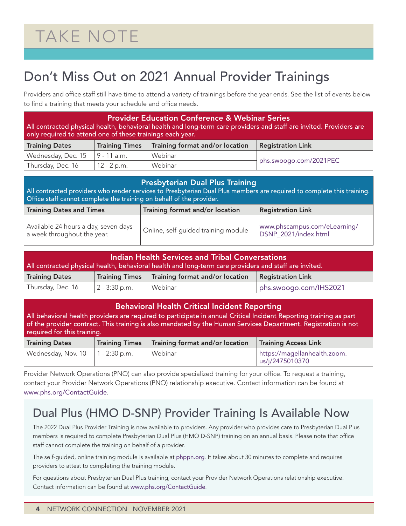# Don't Miss Out on 2021 Annual Provider Trainings

Providers and office staff still have time to attend a variety of trainings before the year ends. See the list of events below to find a training that meets your schedule and office needs.

| <b>Provider Education Conference &amp; Webinar Series</b><br>All contracted physical health, behavioral health and long-term care providers and staff are invited. Providers are<br>only required to attend one of these trainings each year. |                                                                                      |                                   |  |  |  |  |  |  |  |
|-----------------------------------------------------------------------------------------------------------------------------------------------------------------------------------------------------------------------------------------------|--------------------------------------------------------------------------------------|-----------------------------------|--|--|--|--|--|--|--|
| <b>Training Dates</b>                                                                                                                                                                                                                         | Training format and/or location<br><b>Training Times</b><br><b>Registration Link</b> |                                   |  |  |  |  |  |  |  |
| Wednesday, Dec. 15                                                                                                                                                                                                                            | 9 - 11 a.m.                                                                          | Webinar                           |  |  |  |  |  |  |  |
| Thursday, Dec. 16                                                                                                                                                                                                                             | $12 - 2 p.m.$                                                                        | phs.swoogo.com/2021PEC<br>Webinar |  |  |  |  |  |  |  |
|                                                                                                                                                                                                                                               |                                                                                      |                                   |  |  |  |  |  |  |  |

| <b>Presbyterian Dual Plus Training</b><br>All contracted providers who render services to Presbyterian Dual Plus members are required to complete this training.<br>Office staff cannot complete the training on behalf of the provider. |                                     |                                                      |  |  |  |  |  |
|------------------------------------------------------------------------------------------------------------------------------------------------------------------------------------------------------------------------------------------|-------------------------------------|------------------------------------------------------|--|--|--|--|--|
| Training format and/or location<br><b>Registration Link</b><br><b>Training Dates and Times</b>                                                                                                                                           |                                     |                                                      |  |  |  |  |  |
| Available 24 hours a day, seven days<br>a week throughout the year.                                                                                                                                                                      | Online, self-quided training module | www.phscampus.com/eLearning/<br>DSNP_2021/index.html |  |  |  |  |  |

| Indian Health Services and Tribal Conversations<br>All contracted physical health, behavioral health and long-term care providers and staff are invited. |                                                                              |  |  |  |  |  |  |  |  |
|----------------------------------------------------------------------------------------------------------------------------------------------------------|------------------------------------------------------------------------------|--|--|--|--|--|--|--|--|
| <b>Training Dates</b>                                                                                                                                    | Training Times   Training format and/or location<br><b>Registration Link</b> |  |  |  |  |  |  |  |  |
| Thursday, Dec. 16                                                                                                                                        | $2 - 3:30$ p.m.<br>phs.swoogo.com/IHS2021<br>Webinar                         |  |  |  |  |  |  |  |  |

### Behavioral Health Critical Incident Reporting

All behavioral health providers are required to participate in annual Critical Incident Reporting training as part of the provider contract. This training is also mandated by the Human Services Department. Registration is not required for this training.

| <b>Training Dates</b> | <b>Training Times</b> | Training format and/or location | <b>Training Access Link</b>                     |
|-----------------------|-----------------------|---------------------------------|-------------------------------------------------|
| Wednesday, Nov. 10    | $1 - 2:30$ p.m.       | Webinar                         | https://magellanhealth.zoom.<br>us/j/2475010370 |

Provider Network Operations (PNO) can also provide specialized training for your office. To request a training, contact your Provider Network Operations (PNO) relationship executive. Contact information can be found at [www.phs.org/ContactGuide](http://www.phs.org/ContactGuide).

# Dual Plus (HMO D-SNP) Provider Training Is Available Now

The 2022 Dual Plus Provider Training is now available to providers. Any provider who provides care to Presbyterian Dual Plus members is required to complete Presbyterian Dual Plus (HMO D-SNP) training on an annual basis. Please note that office staff cannot complete the training on behalf of a provider.

The self-guided, online training module is available at [phppn.org](http://phppn.org). It takes about 30 minutes to complete and requires providers to attest to completing the training module.

For questions about Presbyterian Dual Plus training, contact your Provider Network Operations relationship executive. Contact information can be found at [www.phs.org/ContactGuide](http://www.phs.org/ContactGuide).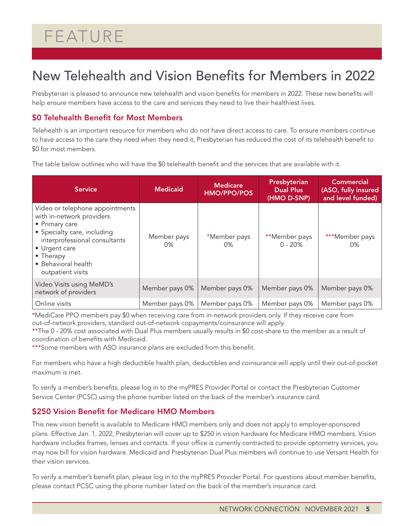# FEATURE

# New Telehealth and Vision Benefits for Members in 2022

Presbyterian is pleased to announce new telehealth and vision benefits for members in 2022. These new benefits will help ensure members have access to the care and services they need to live their healthiest lives.

### \$0 Telehealth Benefit for Most Members

Telehealth is an important resource for members who do not have direct access to care. To ensure members continue to have access to the care they need when they need it, Presbyterian has reduced the cost of its telehealth benefit to \$0 for most members.

The table below outlines who will have the \$0 telehealth benefit and the services that are available with it.

| <b>Service</b>                                                                                                                                                                                                           | <b>Medicaid</b>   | <b>Medicare</b><br><b>HMO/PPO/POS</b> | Presbyterian<br><b>Dual Plus</b><br>(HMO D-SNP) | <b>Commercial</b><br>(ASO, fully insured<br>and level funded) |
|--------------------------------------------------------------------------------------------------------------------------------------------------------------------------------------------------------------------------|-------------------|---------------------------------------|-------------------------------------------------|---------------------------------------------------------------|
| Video or telephone appointments<br>with in-network providers<br>• Primary care<br>• Specialty care, including<br>interprofessional consultants<br>• Urgent care<br>• Therapy<br>• Behavioral health<br>outpatient visits | Member pays<br>0% | *Member pays<br>$0\%$                 | **Member pays<br>$0 - 20%$                      | ***Member pays<br>0%                                          |
| Video Visits using MeMD's<br>network of providers                                                                                                                                                                        | Member pays 0%    | Member pays 0%                        | Member pays 0%                                  | Member pays 0%                                                |
| Online visits                                                                                                                                                                                                            | Member pays 0%    | Member pays 0%                        | Member pays 0%                                  | Member pays 0%                                                |

\*MediCare PPO members pay \$0 when receiving care from in-network providers only. If they receive care from out-of-network providers, standard out-of-network copayments/coinsurance will apply.

\*\*The 0 - 20% cost associated with Dual Plus members usually results in \$0 cost-share to the member as a result of coordination of benefits with Medicaid.

\*\*\*Some members with ASO insurance plans are excluded from this benefit.

For members who have a high deductible health plan, deductibles and coinsurance will apply until their out-of-pocket maximum is met.

To verify a member's benefits, please log in to the myPRES Provider Portal or contact the Presbyterian Customer Service Center (PCSC) using the phone number listed on the back of the member's insurance card.

### \$250 Vision Benefit for Medicare HMO Members

This new vision benefit is available to Medicare HMO members only and does not apply to employer-sponsored plans. Effective Jan. 1, 2022, Presbyterian will cover up to \$250 in vision hardware for Medicare HMO members. Vision hardware includes frames, lenses and contacts. If your office is currently contracted to provide optometry services, you may now bill for vision hardware. Medicaid and Presbyterian Dual Plus members will continue to use Versant Health for their vision services.

To verify a member's benefit plan, please log in to the myPRES Provider Portal. For questions about member benefits, please contact PCSC using the phone number listed on the back of the member's insurance card.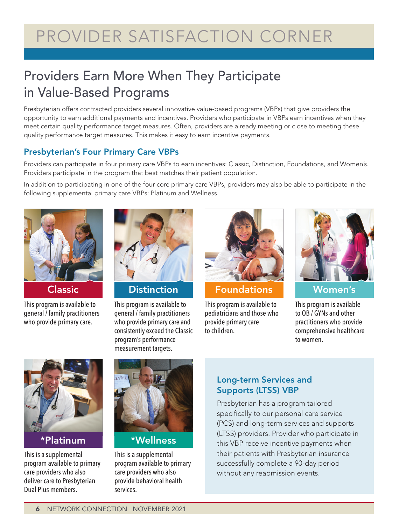# Providers Earn More When They Participate in Value-Based Programs

Presbyterian offers contracted providers several innovative value-based programs (VBPs) that give providers the opportunity to earn additional payments and incentives. Providers who participate in VBPs earn incentives when they meet certain quality performance target measures. Often, providers are already meeting or close to meeting these quality performance target measures. This makes it easy to earn incentive payments.

# Presbyterian's Four Primary Care VBPs

Providers can participate in four primary care VBPs to earn incentives: Classic, Distinction, Foundations, and Women's. Providers participate in the program that best matches their patient population.

In addition to participating in one of the four core primary care VBPs, providers may also be able to participate in the following supplemental primary care VBPs: Platinum and Wellness.



This program is available to general / family practitioners who provide primary care.



This program is available to general / family practitioners who provide primary care and consistently exceed the Classic program's performance measurement targets.



**Classic Distinction Foundations Women's** 

This program is available to pediatricians and those who provide primary care to children.



This program is available to OB / GYNs and other practitioners who provide comprehensive healthcare to women.



This is a supplemental program available to primary care providers who also deliver care to Presbyterian Dual Plus members.



# \*Platinum \*Wellness

This is a supplemental program available to primary care providers who also provide behavioral health services.

# Long-term Services and Supports (LTSS) VBP

Presbyterian has a program tailored specifically to our personal care service (PCS) and long-term services and supports (LTSS) providers. Provider who participate in this VBP receive incentive payments when their patients with Presbyterian insurance successfully complete a 90-day period without any readmission events.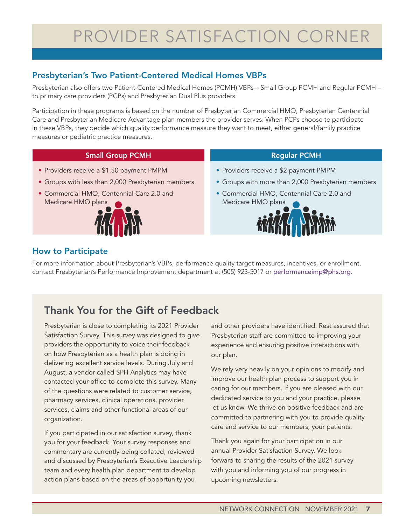# PROVIDER SATISFACTION CORNER

# Presbyterian's Two Patient-Centered Medical Homes VBPs

Presbyterian also offers two Patient-Centered Medical Homes (PCMH) VBPs – Small Group PCMH and Regular PCMH – to primary care providers (PCPs) and Presbyterian Dual Plus providers.

Participation in these programs is based on the number of Presbyterian Commercial HMO, Presbyterian Centennial Care and Presbyterian Medicare Advantage plan members the provider serves. When PCPs choose to participate in these VBPs, they decide which quality performance measure they want to meet, either general/family practice measures or pediatric practice measures.

### Small Group PCMH

- Providers receive a \$1.50 payment PMPM
- Groups with less than 2,000 Presbyterian members
- Commercial HMO, Centennial Care 2.0 and Medicare HMO plans



### Regular PCMH

- Providers receive a \$2 payment PMPM
- Groups with more than 2,000 Presbyterian members
- Commercial HMO, Centennial Care 2.0 and Medicare HMO plans



## How to Participate

For more information about Presbyterian's VBPs, performance quality target measures, incentives, or enrollment, contact Presbyterian's Performance Improvement department at (505) 923-5017 or [performanceimp@phs.org](mailto:performanceimp@phs.org).

# Thank You for the Gift of Feedback

Presbyterian is close to completing its 2021 Provider Satisfaction Survey. This survey was designed to give providers the opportunity to voice their feedback on how Presbyterian as a health plan is doing in delivering excellent service levels. During July and August, a vendor called SPH Analytics may have contacted your office to complete this survey. Many of the questions were related to customer service, pharmacy services, clinical operations, provider services, claims and other functional areas of our organization.

If you participated in our satisfaction survey, thank you for your feedback. Your survey responses and commentary are currently being collated, reviewed and discussed by Presbyterian's Executive Leadership team and every health plan department to develop action plans based on the areas of opportunity you

and other providers have identified. Rest assured that Presbyterian staff are committed to improving your experience and ensuring positive interactions with our plan.

We rely very heavily on your opinions to modify and improve our health plan process to support you in caring for our members. If you are pleased with our dedicated service to you and your practice, please let us know. We thrive on positive feedback and are committed to partnering with you to provide quality care and service to our members, your patients.

Thank you again for your participation in our annual Provider Satisfaction Survey. We look forward to sharing the results of the 2021 survey with you and informing you of our progress in upcoming newsletters.